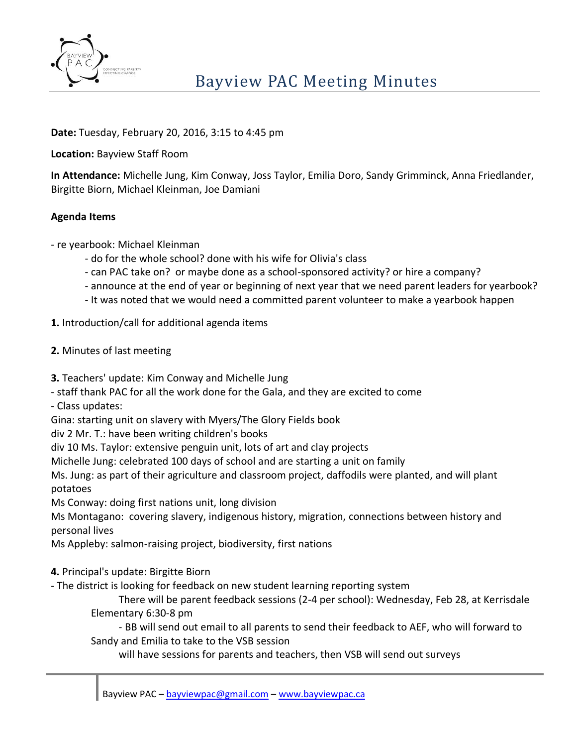

**Date:** Tuesday, February 20, 2016, 3:15 to 4:45 pm

### **Location:** Bayview Staff Room

**In Attendance:** Michelle Jung, Kim Conway, Joss Taylor, Emilia Doro, Sandy Grimminck, Anna Friedlander, Birgitte Biorn, Michael Kleinman, Joe Damiani

## **Agenda Items**

- re yearbook: Michael Kleinman

- do for the whole school? done with his wife for Olivia's class
- can PAC take on? or maybe done as a school-sponsored activity? or hire a company?
- announce at the end of year or beginning of next year that we need parent leaders for yearbook?
- It was noted that we would need a committed parent volunteer to make a yearbook happen
- **1.** Introduction/call for additional agenda items
- **2.** Minutes of last meeting
- **3.** Teachers' update: Kim Conway and Michelle Jung
- staff thank PAC for all the work done for the Gala, and they are excited to come
- Class updates:

Gina: starting unit on slavery with Myers/The Glory Fields book

div 2 Mr. T.: have been writing children's books

div 10 Ms. Taylor: extensive penguin unit, lots of art and clay projects

Michelle Jung: celebrated 100 days of school and are starting a unit on family

Ms. Jung: as part of their agriculture and classroom project, daffodils were planted, and will plant potatoes

Ms Conway: doing first nations unit, long division

Ms Montagano: covering slavery, indigenous history, migration, connections between history and personal lives

Ms Appleby: salmon-raising project, biodiversity, first nations

- **4.** Principal's update: Birgitte Biorn
- The district is looking for feedback on new student learning reporting system

There will be parent feedback sessions (2-4 per school): Wednesday, Feb 28, at Kerrisdale Elementary 6:30-8 pm

- BB will send out email to all parents to send their feedback to AEF, who will forward to Sandy and Emilia to take to the VSB session

will have sessions for parents and teachers, then VSB will send out surveys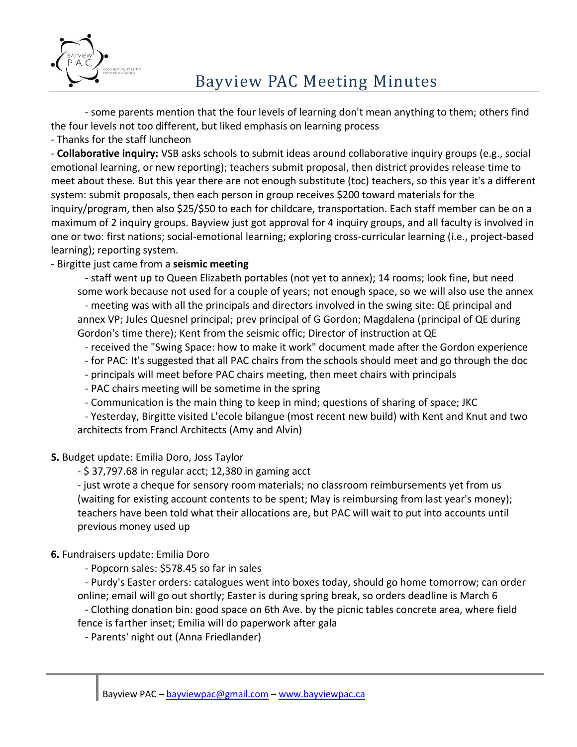

- some parents mention that the four levels of learning don't mean anything to them; others find the four levels not too different, but liked emphasis on learning process

- Thanks for the staff luncheon

- **Collaborative inquiry:** VSB asks schools to submit ideas around collaborative inquiry groups (e.g., social emotional learning, or new reporting); teachers submit proposal, then district provides release time to meet about these. But this year there are not enough substitute (toc) teachers, so this year it's a different system: submit proposals, then each person in group receives \$200 toward materials for the inquiry/program, then also \$25/\$50 to each for childcare, transportation. Each staff member can be on a maximum of 2 inquiry groups. Bayview just got approval for 4 inquiry groups, and all faculty is involved in one or two: first nations; social-emotional learning; exploring cross-curricular learning (i.e., project-based learning); reporting system.

- Birgitte just came from a **seismic meeting**

- staff went up to Queen Elizabeth portables (not yet to annex); 14 rooms; look fine, but need some work because not used for a couple of years; not enough space, so we will also use the annex

- meeting was with all the principals and directors involved in the swing site: QE principal and annex VP; Jules Quesnel principal; prev principal of G Gordon; Magdalena (principal of QE during Gordon's time there); Kent from the seismic offic; Director of instruction at QE

- received the "Swing Space: how to make it work" document made after the Gordon experience
- for PAC: It's suggested that all PAC chairs from the schools should meet and go through the doc
- principals will meet before PAC chairs meeting, then meet chairs with principals
- PAC chairs meeting will be sometime in the spring
- Communication is the main thing to keep in mind; questions of sharing of space; JKC
- Yesterday, Birgitte visited L'ecole bilangue (most recent new build) with Kent and Knut and two architects from Francl Architects (Amy and Alvin)

#### **5.** Budget update: Emilia Doro, Joss Taylor

- \$ 37,797.68 in regular acct; 12,380 in gaming acct

- just wrote a cheque for sensory room materials; no classroom reimbursements yet from us (waiting for existing account contents to be spent; May is reimbursing from last year's money); teachers have been told what their allocations are, but PAC will wait to put into accounts until previous money used up

#### **6.** Fundraisers update: Emilia Doro

- Popcorn sales: \$578.45 so far in sales

- Purdy's Easter orders: catalogues went into boxes today, should go home tomorrow; can order online; email will go out shortly; Easter is during spring break, so orders deadline is March 6

- Clothing donation bin: good space on 6th Ave. by the picnic tables concrete area, where field fence is farther inset; Emilia will do paperwork after gala

- Parents' night out (Anna Friedlander)